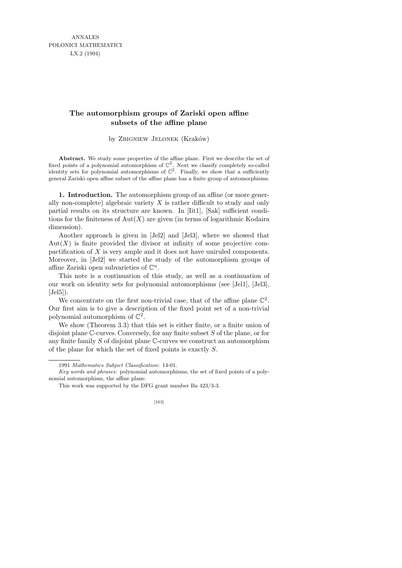## **The automorphism groups of Zariski open affine subsets of the affine plane**

by ZBIGNIEW JELONEK (Kraków)

Abstract. We study some properties of the affine plane. First we describe the set of fixed points of a polynomial automorphism of  $\mathbb{C}^2$ . Next we classify completely so-called identity sets for polynomial automorphisms of  $\mathbb{C}^2$ . Finally, we show that a sufficiently general Zariski open affine subset of the affine plane has a finite group of automorphisms.

1. Introduction. The automorphism group of an affine (or more generally non-complete) algebraic variety  $X$  is rather difficult to study and only partial results on its structure are known. In [Iit1], [Sak] sufficient conditions for the finiteness of  $Aut(X)$  are given (in terms of logarithmic Kodaira dimension).

Another approach is given in [Jel2] and [Jel3], where we showed that  $Aut(X)$  is finite provided the divisor at infinity of some projective compactification of X is very ample and it does not have uniruled components. Moreover, in [Jel2] we started the study of the automorphism groups of affine Zariski open subvarieties of  $\mathbb{C}^n$ .

This note is a continuation of this study, as well as a continuation of our work on identity sets for polynomial automorphisms (see [Jel1], [Jel3],  $[Jel5]$ .

We concentrate on the first non-trivial case, that of the affine plane  $\mathbb{C}^2$ . Our first aim is to give a description of the fixed point set of a non-trivial polynomial automorphism of  $\mathbb{C}^2$ .

We show (Theorem 3.3) that this set is either finite, or a finite union of disjoint plane C-curves. Conversely, for any finite subset S of the plane, or for any finite family  $S$  of disjoint plane  $\mathbb C$ -curves we construct an automorphism of the plane for which the set of fixed points is exactly S.

<sup>1991</sup> *Mathematics Subject Classification*: 14-01.

*Key words and phrases*: polynomial automorphisms, the set of fixed points of a polynomial automorphism, the affine plane.

This work was supported by the DFG grant number Ba 423/3-3.

<sup>[163]</sup>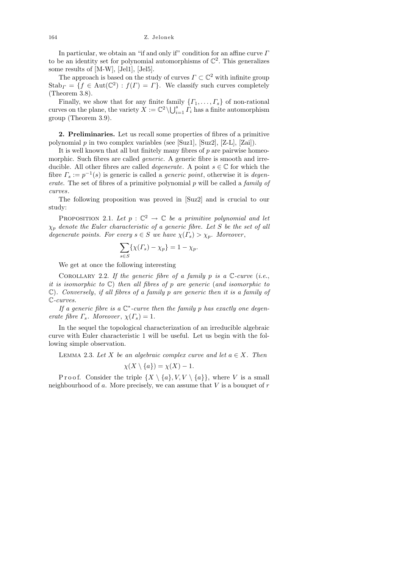In particular, we obtain an "if and only if" condition for an affine curve  $\Gamma$ to be an identity set for polynomial automorphisms of  $\mathbb{C}^2$ . This generalizes some results of [M-W], [Jel1], [Jel5].

The approach is based on the study of curves  $\Gamma \subset \mathbb{C}^2$  with infinite group  $\text{Stab}_{\Gamma} = \{ f \in \text{Aut}(\mathbb{C}^2) : f(\Gamma) = \Gamma \}.$  We classify such curves completely (Theorem 3.8).

Finally, we show that for any finite family  $\{ \Gamma_1, \ldots, \Gamma_s \}$  of non-rational curves on the plane, the variety  $X := \mathbb{C}^2 \setminus \bigcup_{i=1}^s \overline{\Gamma_i}$  has a finite automorphism group (Theorem 3.9).

2. Preliminaries. Let us recall some properties of fibres of a primitive polynomial  $p$  in two complex variables (see [Suz1], [Suz2], [Z-L], [Zai]).

It is well known that all but finitely many fibres of  $p$  are pairwise homeomorphic. Such fibres are called *generic*. A generic fibre is smooth and irreducible. All other fibres are called *degenerate*. A point  $s \in \mathbb{C}$  for which the fibre  $\Gamma_s := p^{-1}(s)$  is generic is called a *generic point*, otherwise it is *degen*erate. The set of fibres of a primitive polynomial  $p$  will be called a *family of* curves.

The following proposition was proved in [Suz2] and is crucial to our study:

PROPOSITION 2.1. Let  $p : \mathbb{C}^2 \to \mathbb{C}$  be a primitive polynomial and let  $\chi_p$  denote the Euler characteristic of a generic fibre. Let S be the set of all degenerate points. For every  $s \in S$  we have  $\chi(\Gamma_s) > \chi_p$ . Moreover,

$$
\sum_{s \in S} \{ \chi(\Gamma_s) - \chi_p \} = 1 - \chi_p.
$$

We get at once the following interesting

COROLLARY 2.2. If the generic fibre of a family p is a  $\mathbb{C}\text{-curve (i.e., }$ it is isomorphic to  $\mathbb{C}$ ) then all fibres of p are generic (and isomorphic to  $\mathbb{C}$ ). Conversely, if all fibres of a family p are generic then it is a family of C-curves.

If a generic fibre is a  $\mathbb{C}^*$ -curve then the family p has exactly one degenerate fibre  $\Gamma_s$ . Moreover,  $\chi(\Gamma_s) = 1$ .

In the sequel the topological characterization of an irreducible algebraic curve with Euler characteristic 1 will be useful. Let us begin with the following simple observation.

LEMMA 2.3. Let X be an algebraic complex curve and let  $a \in X$ . Then  $\mathcal{U}(\mathbf{V} \setminus \mathbf{f}_a) = \mathcal{U}(\mathbf{Y}).$ 

$$
\chi(A \setminus \{a\}) = \chi(A) - 1.
$$

P r o o f. Consider the triple  $\{X \setminus \{a\}, V, V \setminus \{a\}\}\$ , where V is a small neighbourhood of a. More precisely, we can assume that  $V$  is a bouquet of  $r$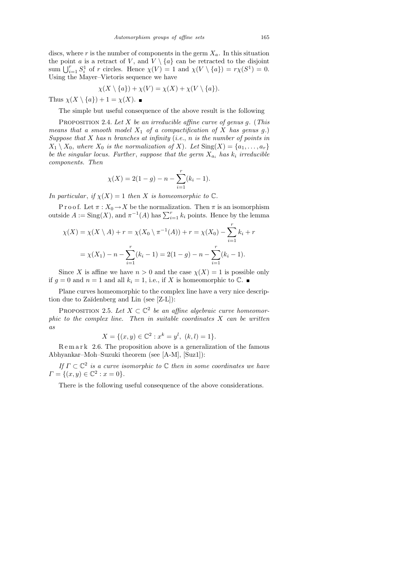discs, where r is the number of components in the germ  $X_a$ . In this situation the point a is a retract of V, and  $V \setminus \{a\}$  can be retracted to the disjoint sum  $\bigcup_{i=1}^r S_i^1$  of r circles. Hence  $\chi(V) = 1$  and  $\chi(V \setminus \{a\}) = r\chi(S^1) = 0$ . Using the Mayer–Vietoris sequence we have

$$
\chi(X \setminus \{a\}) + \chi(V) = \chi(X) + \chi(V \setminus \{a\}).
$$

Thus  $\chi(X \setminus \{a\}) + 1 = \chi(X)$ .

The simple but useful consequence of the above result is the following

PROPOSITION 2.4. Let X be an irreducible affine curve of genus g. (This means that a smooth model  $X_1$  of a compactification of X has genus g.) Suppose that  $X$  has n branches at infinity (i.e., n is the number of points in  $X_1 \setminus X_0$ , where  $X_0$  is the normalization of X). Let  $\text{Sing}(X) = \{a_1, \ldots, a_r\}$ be the singular locus. Further, suppose that the germ  $X_{a_i}$  has  $k_i$  irreducible components. Then

$$
\chi(X) = 2(1 - g) - n - \sum_{i=1}^{r} (k_i - 1).
$$

In particular, if  $\chi(X) = 1$  then X is homeomorphic to  $\mathbb{C}$ .

P r o o f. Let  $\pi$  :  $X_0 \to X$  be the normalization. Then  $\pi$  is an isomorphism outside  $A := \text{Sing}(X)$ , and  $\pi^{-1}(A)$  has  $\sum_{i=1}^{r} k_i$  points. Hence by the lemma

$$
\chi(X) = \chi(X \setminus A) + r = \chi(X_0 \setminus \pi^{-1}(A)) + r = \chi(X_0) - \sum_{i=1}^r k_i + r
$$

$$
= \chi(X_1) - n - \sum_{i=1}^r (k_i - 1) = 2(1 - g) - n - \sum_{i=1}^r (k_i - 1).
$$

Since X is affine we have  $n > 0$  and the case  $\chi(X) = 1$  is possible only if  $g = 0$  and  $n = 1$  and all  $k_i = 1$ , i.e., if X is homeomorphic to  $\mathbb{C}$ .

Plane curves homeomorphic to the complex line have a very nice description due to Zaĭdenberg and Lin (see [Z-L]):

PROPOSITION 2.5. Let  $X \subset \mathbb{C}^2$  be an affine algebraic curve homeomorphic to the complex line. Then in suitable coordinates  $X$  can be written as

$$
X = \{(x, y) \in \mathbb{C}^2 : x^k = y^l, \ (k, l) = 1\}.
$$

 $R$  e m a r k 2.6. The proposition above is a generalization of the famous Abhyankar–Moh–Suzuki theorem (see [A-M], [Suz1]):

If  $\Gamma \subset \mathbb{C}^2$  is a curve isomorphic to  $\mathbb C$  then in some coordinates we have  $\Gamma = \{(x, y) \in \mathbb{C}^2 : x = 0\}.$ 

There is the following useful consequence of the above considerations.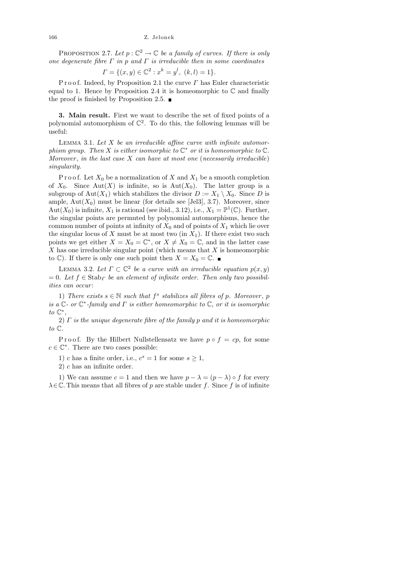## 166 Z. Jelonek

PROPOSITION 2.7. Let  $p: \mathbb{C}^2 \to \mathbb{C}$  be a family of curves. If there is only one degenerate fibre  $\Gamma$  in p and  $\Gamma$  is irreducible then in some coordinates

$$
\Gamma = \{(x, y) \in \mathbb{C}^2 : x^k = y^l, \ (k, l) = 1\}.
$$

P r o o f. Indeed, by Proposition 2.1 the curve  $\Gamma$  has Euler characteristic equal to 1. Hence by Proposition 2.4 it is homeomorphic to  $\mathbb C$  and finally the proof is finished by Proposition 2.5.  $\blacksquare$ 

3. Main result. First we want to describe the set of fixed points of a polynomial automorphism of  $\mathbb{C}^2$ . To do this, the following lemmas will be useful:

LEMMA 3.1. Let  $X$  be an irreducible affine curve with infinite automorphism group. Then X is either isomorphic to  $\mathbb{C}^*$  or it is homeomorphic to  $\mathbb{C}$ . Moreover, in the last case  $X$  can have at most one (necessarily irreducible) singularity.

P r o o f. Let  $X_0$  be a normalization of X and  $X_1$  be a smooth completion of  $X_0$ . Since Aut $(X)$  is infinite, so is Aut $(X_0)$ . The latter group is a subgroup of Aut $(X_1)$  which stabilizes the divisor  $D := X_1 \setminus X_0$ . Since D is ample,  $Aut(X_0)$  must be linear (for details see [Jel3], 3.7). Moreover, since  $Aut(X_0)$  is infinite,  $X_1$  is rational (see ibid., 3.12), i.e.,  $X_1 = \mathbb{P}^1(\mathbb{C})$ . Further, the singular points are permuted by polynomial automorphisms, hence the common number of points at infinity of  $X_0$  and of points of  $X_1$  which lie over the singular locus of X must be at most two (in  $X_1$ ). If there exist two such points we get either  $X = X_0 = \mathbb{C}^*$ , or  $X \neq X_0 = \mathbb{C}$ , and in the latter case  $X$  has one irreducible singular point (which means that  $X$  is homeomorphic to  $\mathbb{C}$ ). If there is only one such point then  $X = X_0 = \mathbb{C}$ .

LEMMA 3.2. Let  $\Gamma \subset \mathbb{C}^2$  be a curve with an irreducible equation  $p(x, y)$  $= 0.$  Let  $f \in$  Stab<sub>L</sub> be an element of infinite order. Then only two possibilities can occur:

1) There exists  $s \in \mathbb{N}$  such that  $f^s$  stabilizes all fibres of p. Moreover, p is a  $\mathbb{C}$ - or  $\mathbb{C}^*$ -family and  $\Gamma$  is either homeomorphic to  $\mathbb{C}$ , or it is isomorphic  $to \mathbb{C}^*,$ 

2)  $\Gamma$  is the unique degenerate fibre of the family  $p$  and it is homeomorphic to C.

P r o o f. By the Hilbert Nullstellensatz we have  $p \circ f = cp$ , for some  $c \in \mathbb{C}^*$ . There are two cases possible:

1) c has a finite order, i.e.,  $c^s = 1$  for some  $s \ge 1$ ,

2) c has an infinite order.

1) We can assume  $c = 1$  and then we have  $p - \lambda = (p - \lambda) \circ f$  for every  $\lambda \in \mathbb{C}$ . This means that all fibres of p are stable under f. Since f is of infinite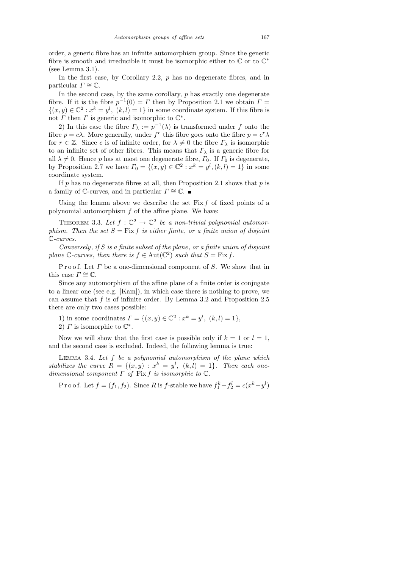order, a generic fibre has an infinite automorphism group. Since the generic fibre is smooth and irreducible it must be isomorphic either to  $\mathbb C$  or to  $\mathbb C^*$ (see Lemma 3.1).

In the first case, by Corollary 2.2,  $p$  has no degenerate fibres, and in particular  $\Gamma \cong \mathbb{C}$ .

In the second case, by the same corollary,  $p$  has exactly one degenerate fibre. If it is the fibre  $p^{-1}(0) = \Gamma$  then by Proposition 2.1 we obtain  $\Gamma =$  $\{(x, y) \in \mathbb{C}^2 : x^k = y^l, (k, l) = 1\}$  in some coordinate system. If this fibre is not  $\Gamma$  then  $\Gamma$  is generic and isomorphic to  $\mathbb{C}^*$ .

2) In this case the fibre  $\Gamma_{\lambda} := p^{-1}(\lambda)$  is transformed under f onto the fibre  $p = c\lambda$ . More generally, under  $f^r$  this fibre goes onto the fibre  $p = c^r \lambda$ for  $r \in \mathbb{Z}$ . Since c is of infinite order, for  $\lambda \neq 0$  the fibre  $\Gamma_{\lambda}$  is isomorphic to an infinite set of other fibres. This means that  $\Gamma_{\lambda}$  is a generic fibre for all  $\lambda \neq 0$ . Hence p has at most one degenerate fibre,  $\Gamma_0$ . If  $\Gamma_0$  is degenerate, by Proposition 2.7 we have  $\Gamma_0 = \{(x, y) \in \mathbb{C}^2 : x^k = y^l, (k, l) = 1\}$  in some coordinate system.

If p has no degenerate fibres at all, then Proposition 2.1 shows that p is a family of  $\mathbb{C}$ -curves, and in particular  $\Gamma \cong \mathbb{C}$ .

Using the lemma above we describe the set  $Fix f$  of fixed points of a polynomial automorphism  $f$  of the affine plane. We have:

THEOREM 3.3. Let  $f: \mathbb{C}^2 \to \mathbb{C}^2$  be a non-trivial polynomial automorphism. Then the set  $S = \text{Fix } f$  is either finite, or a finite union of disjoint C-curves.

Conversely, if S is a finite subset of the plane, or a finite union of disjoint plane  $\mathbb{C}\text{-curves}$ , then there is  $f \in \text{Aut}(\mathbb{C}^2)$  such that  $S = \text{Fix } f$ .

Proof. Let  $\Gamma$  be a one-dimensional component of  $S$ . We show that in this case  $\Gamma \cong \mathbb{C}$ .

Since any automorphism of the affine plane of a finite order is conjugate to a linear one (see e.g. [Kam]), in which case there is nothing to prove, we can assume that  $f$  is of infinite order. By Lemma 3.2 and Proposition 2.5 there are only two cases possible:

1) in some coordinates  $\Gamma = \{(x, y) \in \mathbb{C}^2 : x^k = y^l, (k, l) = 1\},\$ 

2)  $\Gamma$  is isomorphic to  $\mathbb{C}^*$ .

Now we will show that the first case is possible only if  $k = 1$  or  $l = 1$ , and the second case is excluded. Indeed, the following lemma is true:

LEMMA 3.4. Let  $f$  be a polynomial automorphism of the plane which stabilizes the curve  $R = \{(x, y) : x^k = y^l, (k, l) = 1\}$ . Then each onedimensional component  $\Gamma$  of Fix f is isomorphic to  $\mathbb C$ .

Proof. Let  $f = (f_1, f_2)$ . Since R is f-stable we have  $f_1^k - f_2^l = c(x^k - y^l)$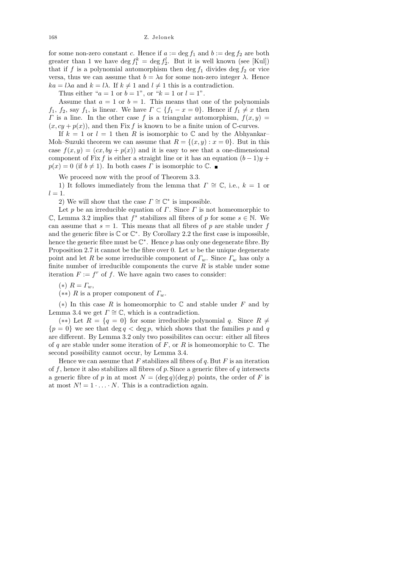168 Z. Jelonek

for some non-zero constant c. Hence if  $a := \deg f_1$  and  $b := \deg f_2$  are both greater than 1 we have  $\deg f_1^k = \deg f_2^l$ . But it is well known (see [Kul]) that if f is a polynomial automorphism then deg  $f_1$  divides deg  $f_2$  or vice versa, thus we can assume that  $b = \lambda a$  for some non-zero integer  $\lambda$ . Hence  $ka = l\lambda a$  and  $k = l\lambda$ . If  $k \neq 1$  and  $l \neq 1$  this is a contradiction.

Thus either " $a = 1$  or  $b = 1$ ", or " $k = 1$  or  $l = 1$ ".

Assume that  $a = 1$  or  $b = 1$ . This means that one of the polynomials  $f_1$ ,  $f_2$ , say  $f_1$ , is linear. We have  $\Gamma \subset \{f_1 - x = 0\}$ . Hence if  $f_1 \neq x$  then  $\Gamma$  is a line. In the other case f is a triangular automorphism,  $f(x, y) =$  $(x, cy + p(x))$ , and then Fix f is known to be a finite union of C-curves.

If  $k = 1$  or  $l = 1$  then R is isomorphic to C and by the Abhyankar– Moh–Suzuki theorem we can assume that  $R = \{(x, y) : x = 0\}$ . But in this case  $f(x, y) = (cx, by + p(x))$  and it is easy to see that a one-dimensional component of Fix f is either a straight line or it has an equation  $(b - 1)y +$  $p(x) = 0$  (if  $b \neq 1$ ). In both cases  $\Gamma$  is isomorphic to  $\mathbb{C}$ .

We proceed now with the proof of Theorem 3.3.

1) It follows immediately from the lemma that  $\Gamma \cong \mathbb{C}$ , i.e.,  $k = 1$  or  $l=1.$ 

2) We will show that the case  $\Gamma \cong \mathbb{C}^*$  is impossible.

Let p be an irreducible equation of  $\Gamma$ . Since  $\Gamma$  is not homeomorphic to  $\mathbb{C}$ , Lemma 3.2 implies that  $f^s$  stabilizes all fibres of p for some  $s \in \mathbb{N}$ . We can assume that  $s = 1$ . This means that all fibres of p are stable under f and the generic fibre is  $\mathbb C$  or  $\mathbb C^*$ . By Corollary 2.2 the first case is impossible, hence the generic fibre must be  $\mathbb{C}^*$ . Hence p has only one degenerate fibre. By Proposition 2.7 it cannot be the fibre over 0. Let  $w$  be the unique degenerate point and let R be some irreducible component of  $\Gamma_w$ . Since  $\Gamma_w$  has only a finite number of irreducible components the curve  $R$  is stable under some iteration  $F := f^r$  of f. We have again two cases to consider:

$$
(*) R = \Gamma_w,
$$

(\*\*) R is a proper component of  $\Gamma_w$ .

(\*) In this case R is homeomorphic to  $\mathbb C$  and stable under F and by Lemma 3.4 we get  $\Gamma \cong \mathbb{C}$ , which is a contradiction.

(\*\*) Let  $R = \{q = 0\}$  for some irreducible polynomial q. Since  $R \neq$  ${p = 0}$  we see that deg  $q < \deg p$ , which shows that the families p and q are different. By Lemma 3.2 only two possibilites can occur: either all fibres of q are stable under some iteration of F, or R is homeomorphic to  $\mathbb C$ . The second possibility cannot occur, by Lemma 3.4.

Hence we can assume that  $F$  stabilizes all fibres of  $q$ . But  $F$  is an iteration of f, hence it also stabilizes all fibres of p. Since a generic fibre of q intersects a generic fibre of p in at most  $N = (\deg q)(\deg p)$  points, the order of F is at most  $N! = 1 \cdot \ldots \cdot N$ . This is a contradiction again.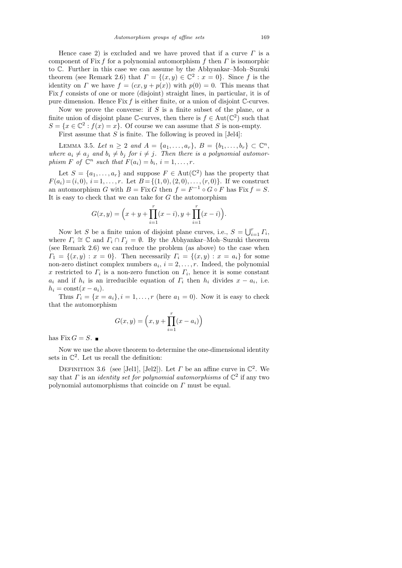Hence case 2) is excluded and we have proved that if a curve  $\Gamma$  is a component of Fix f for a polynomial automorphism f then  $\Gamma$  is isomorphic to C. Further in this case we can assume by the Abhyankar–Moh–Suzuki theorem (see Remark 2.6) that  $\Gamma = \{(x, y) \in \mathbb{C}^2 : x = 0\}$ . Since f is the identity on  $\Gamma$  we have  $f = (cx, y + p(x))$  with  $p(0) = 0$ . This means that Fix f consists of one or more (disjoint) straight lines, in particular, it is of pure dimension. Hence Fix  $f$  is either finite, or a union of disjoint C-curves.

Now we prove the converse: if  $S$  is a finite subset of the plane, or a finite union of disjoint plane  $\mathbb{C}$ -curves, then there is  $f \in Aut(\mathbb{C}^2)$  such that  $S = \{x \in \mathbb{C}^2 : f(x) = x\}.$  Of course we can assume that S is non-empty.

First assume that  $S$  is finite. The following is proved in  $\text{Jel4}$ :

LEMMA 3.5. Let  $n \ge 2$  and  $A = \{a_1, ..., a_r\}, B = \{b_1, ..., b_r\} \subset \mathbb{C}^n$ , where  $a_i \neq a_j$  and  $b_i \neq b_j$  for  $i \neq j$ . Then there is a polynomial automorphism F of  $\mathbb{C}^n$  such that  $F(a_i) = b_i, i = 1, \ldots, r$ .

Let  $S = \{a_1, \ldots, a_r\}$  and suppose  $F \in Aut(\mathbb{C}^2)$  has the property that  $F(a_i) = (i, 0), i = 1, \ldots, r$ . Let  $B = \{(1, 0), (2, 0), \ldots, (r, 0)\}$ . If we construct an automorphism G with  $B = Fix G$  then  $f = F^{-1} \circ G \circ F$  has  $Fix f = S$ . It is easy to check that we can take for  $G$  the automorphism

$$
G(x,y) = \left(x + y + \prod_{i=1}^{r} (x - i), y + \prod_{i=1}^{r} (x - i)\right).
$$

Now let S be a finite union of disjoint plane curves, i.e.,  $S = \bigcup_{i=1}^{r} \Gamma_i$ , where  $\Gamma_i \cong \mathbb{C}$  and  $\Gamma_i \cap \Gamma_j = \emptyset$ . By the Abhyankar–Moh–Suzuki theorem (see Remark 2.6) we can reduce the problem (as above) to the case when  $\Gamma_1 = \{(x, y) : x = 0\}.$  Then necessarily  $\Gamma_i = \{(x, y) : x = a_i\}$  for some non-zero distinct complex numbers  $a_i$ ,  $i = 2, \ldots, r$ . Indeed, the polynomial x restricted to  $\Gamma_i$  is a non-zero function on  $\Gamma_i$ , hence it is some constant  $a_i$  and if  $h_i$  is an irreducible equation of  $\Gamma_i$  then  $h_i$  divides  $x - a_i$ , i.e.  $h_i = \text{const}(x - a_i).$ 

Thus  $\Gamma_i = \{x = a_i\}, i = 1, \ldots, r$  (here  $a_1 = 0$ ). Now it is easy to check that the automorphism

$$
G(x, y) = (x, y + \prod_{i=1}^{r} (x - a_i))
$$

has Fix  $G = S$ .

Now we use the above theorem to determine the one-dimensional identity sets in  $\mathbb{C}^2$ . Let us recall the definition:

DEFINITION 3.6 (see [Jel1], [Jel2]). Let  $\Gamma$  be an affine curve in  $\mathbb{C}^2$ . We say that  $\Gamma$  is an *identity set for polynomial automorphisms* of  $\mathbb{C}^2$  if any two polynomial automorphisms that coincide on Γ must be equal.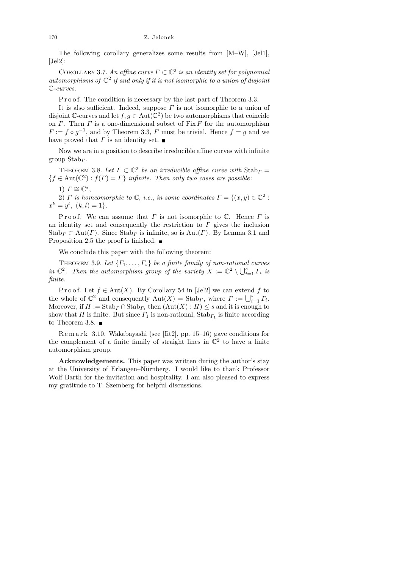## 170 Z. Jelonek

The following corollary generalizes some results from [M–W], [Jel1],  $[Jel2]$ :

COROLLARY 3.7. An affine curve  $\Gamma \subset \mathbb{C}^2$  is an identity set for polynomial automorphisms of  $\mathbb{C}^2$  if and only if it is not isomorphic to a union of disjoint C-curves.

P r o o f. The condition is necessary by the last part of Theorem 3.3.

It is also sufficient. Indeed, suppose  $\Gamma$  is not isomorphic to a union of disjoint C-curves and let  $f, g \in Aut(\mathbb{C}^2)$  be two automorphisms that coincide on  $\Gamma$ . Then  $\Gamma$  is a one-dimensional subset of Fix  $F$  for the automorphism  $F := f \circ g^{-1}$ , and by Theorem 3.3, F must be trivial. Hence  $f = g$  and we have proved that  $\Gamma$  is an identity set.

Now we are in a position to describe irreducible affine curves with infinite group  $Stab<sub>\Gamma</sub>$ .

THEOREM 3.8. Let  $\Gamma \subset \mathbb{C}^2$  be an irreducible affine curve with  $\text{Stab}_{\Gamma} =$  ${f \in Aut}(\mathbb{C}^2) : f(\Gamma) = \Gamma$  infinite. Then only two cases are possible:

$$
1) \, \Gamma \cong \mathbb{C}^*,
$$

2)  $\Gamma$  is homeomorphic to  $\mathbb{C}$ , i.e., in some coordinates  $\Gamma = \{(x, y) \in \mathbb{C}^2 :$  $x^k = y^l, (k, l) = 1$ .

P roof. We can assume that  $\Gamma$  is not isomorphic to  $\mathbb C$ . Hence  $\Gamma$  is an identity set and consequently the restriction to  $\Gamma$  gives the inclusion  $\text{Stab}_\Gamma \subset \text{Aut}(\Gamma)$ . Since  $\text{Stab}_\Gamma$  is infinite, so is  $\text{Aut}(\Gamma)$ . By Lemma 3.1 and Proposition 2.5 the proof is finished.  $\blacksquare$ 

We conclude this paper with the following theorem:

THEOREM 3.9. Let  $\{\Gamma_1, \ldots, \Gamma_s\}$  be a finite family of non-rational curves in  $\mathbb{C}^2$ . Then the automorphism group of the variety  $X := \mathbb{C}^2 \setminus \bigcup_{i=1}^s \Gamma_i$  is finite.

P r o o f. Let  $f \in Aut(X)$ . By Corollary 54 in [Jel2] we can extend f to the whole of  $\mathbb{C}^2$  and consequently  $\mathrm{Aut}(X) = \mathrm{Stab}_\Gamma$ , where  $\Gamma := \bigcup_{i=1}^s \Gamma_i$ . Moreover, if  $H := \text{Stab}_{\Gamma} \cap \text{Stab}_{\Gamma_1}$  then  $(\text{Aut}(X) : H) \leq s$  and it is enough to show that H is finite. But since  $\Gamma_1$  is non-rational,  $\text{Stab}_{\Gamma_1}$  is finite according to Theorem 3.8.  $\blacksquare$ 

R e m a r k 3.10. Wakabayashi (see [Iit2], pp. 15–16) gave conditions for the complement of a finite family of straight lines in  $\mathbb{C}^2$  to have a finite automorphism group.

Acknowledgements. This paper was written during the author's stay at the University of Erlangen–Nürnberg. I would like to thank Professor Wolf Barth for the invitation and hospitality. I am also pleased to express my gratitude to T. Szemberg for helpful discussions.